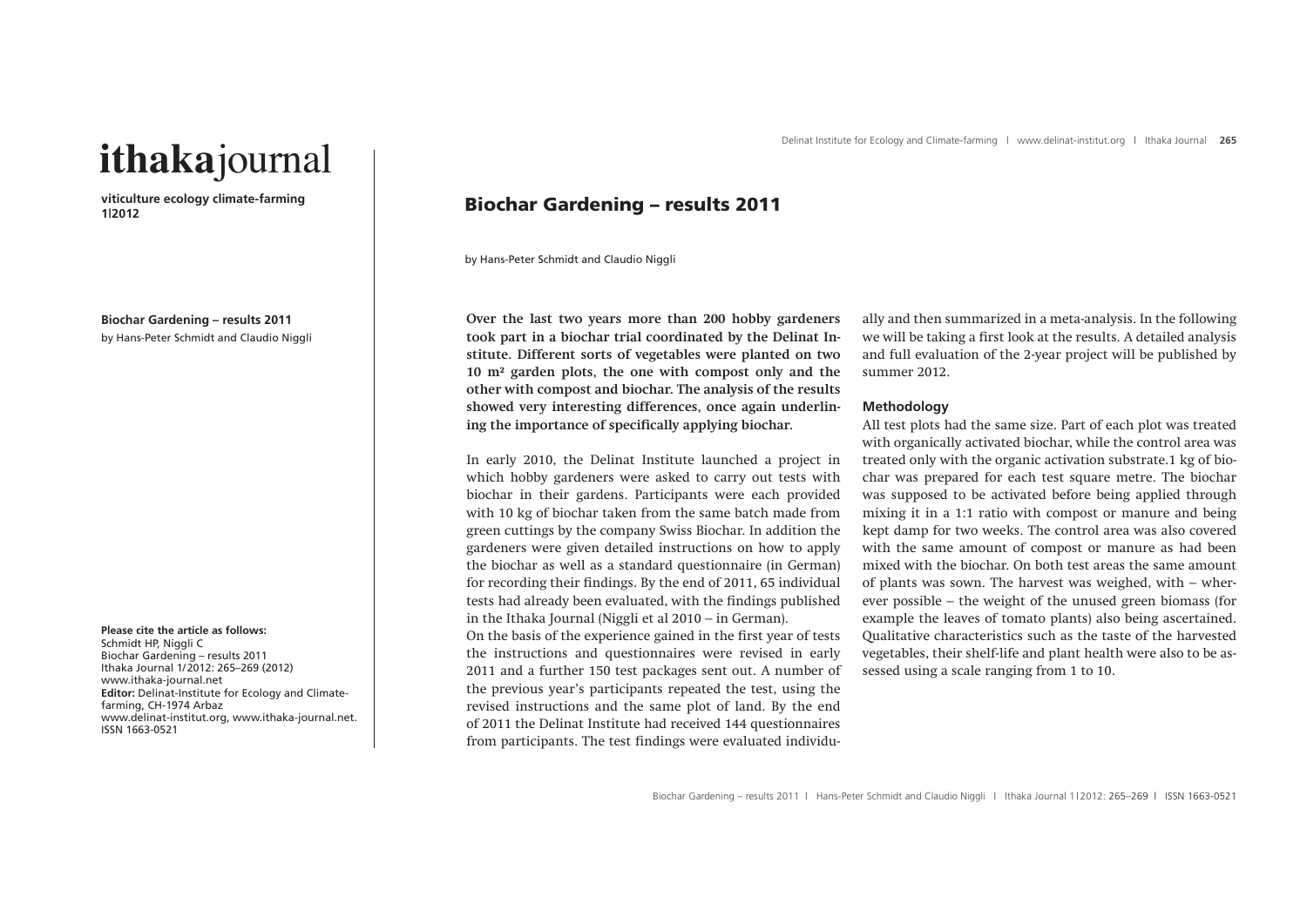# **ithaka**journal

**viticulture ecology climate-farming 1|2012**

**Biochar Gardening – results 2011** by Hans-Peter Schmidt and Claudio Niggli

**Please cite the article as follows:**  Schmidt HP, Niggli C Biochar Gardening – results 2011 Ithaka Journal 1/2012: 265–269 (2012) www.ithaka-journal.net **Editor:** Delinat-Institute for Ecology and Climatefarming, CH-1974 Arbaz www.delinat-institut.org, www.ithaka-journal.net. ISSN 1663-0521

# Biochar Gardening – results 2011

by Hans-Peter Schmidt and Claudio Niggli

**Over the last two years more than 200 hobby gardeners took part in a biochar trial coordinated by the Delinat Institute. Different sorts of vegetables were planted on two 10 m² garden plots, the one with compost only and the other with compost and biochar. The analysis of the results showed very interesting differences, once again underlining the importance of specifically applying biochar.** 

In early 2010, the Delinat Institute launched a project in which hobby gardeners were asked to carry out tests with biochar in their gardens. Participants were each provided with 10 kg of biochar taken from the same batch made from green cuttings by the company Swiss Biochar. In addition the gardeners were given detailed instructions on how to apply the biochar as well as a standard questionnaire (in German) for recording their findings. By the end of 2011, 65 individual tests had already been evaluated, with the findings published in the Ithaka Journal (Niggli et al 2010 – in German).

On the basis of the experience gained in the first year of tests the instructions and questionnaires were revised in early 2011 and a further 150 test packages sent out. A number of the previous year's participants repeated the test, using the revised instructions and the same plot of land. By the end of 2011 the Delinat Institute had received 144 questionnaires from participants. The test findings were evaluated individually and then summarized in a meta-analysis. In the following we will be taking a first look at the results. A detailed analysis and full evaluation of the 2-year project will be published by summer 2012.

# **Methodology**

All test plots had the same size. Part of each plot was treated with organically activated biochar, while the control area was treated only with the organic activation substrate.1 kg of biochar was prepared for each test square metre. The biochar was supposed to be activated before being applied through mixing it in a 1:1 ratio with compost or manure and being kept damp for two weeks. The control area was also covered with the same amount of compost or manure as had been mixed with the biochar. On both test areas the same amount of plants was sown. The harvest was weighed, with – wherever possible – the weight of the unused green biomass (for example the leaves of tomato plants) also being ascertained. Qualitative characteristics such as the taste of the harvested vegetables, their shelf-life and plant health were also to be assessed using a scale ranging from 1 to 10.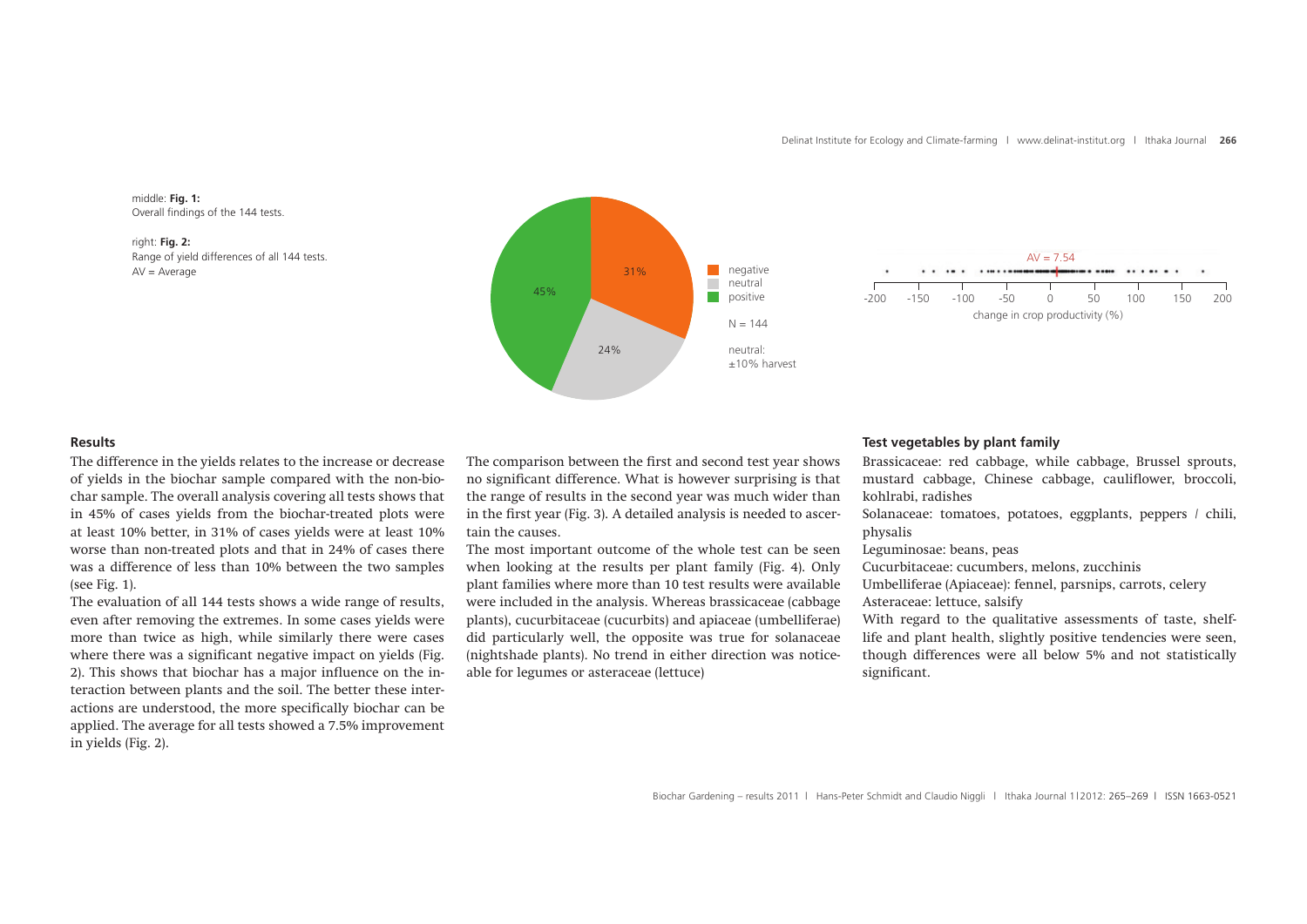

right: **Fig. 2:**  Range of yield differences of all 144 tests.





## **Results**

The difference in the yields relates to the increase or decrease of yields in the biochar sample compared with the non-biochar sample. The overall analysis covering all tests shows that in 45% of cases yields from the biochar-treated plots were at least 10% better, in 31% of cases yields were at least 10% worse than non-treated plots and that in 24% of cases there was a difference of less than 10% between the two samples (see Fig. 1).

The evaluation of all 144 tests shows a wide range of results, even after removing the extremes. In some cases yields were more than twice as high, while similarly there were cases where there was a significant negative impact on yields (Fig. 2). This shows that biochar has a major influence on the interaction between plants and the soil. The better these interactions are understood, the more specifically biochar can be applied. The average for all tests showed a 7.5% improvement in yields (Fig. 2).

The comparison between the first and second test year shows no significant difference. What is however surprising is that the range of results in the second year was much wider than in the first year (Fig. 3). A detailed analysis is needed to ascertain the causes.

The most important outcome of the whole test can be seen when looking at the results per plant family (Fig. 4). Only plant families where more than 10 test results were available were included in the analysis. Whereas brassicaceae (cabbage plants), cucurbitaceae (cucurbits) and apiaceae (umbelliferae) did particularly well, the opposite was true for solanaceae (nightshade plants). No trend in either direction was noticeable for legumes or asteraceae (lettuce)

## **Test vegetables by plant family**

Brassicaceae: red cabbage, while cabbage, Brussel sprouts, mustard cabbage, Chinese cabbage, cauliflower, broccoli, kohlrabi, radishes

Solanaceae: tomatoes, potatoes, eggplants, peppers / chili, physalis

Leguminosae: beans, peas

Cucurbitaceae: cucumbers, melons, zucchinis

Umbelliferae (Apiaceae): fennel, parsnips, carrots, celery Asteraceae: lettuce, salsify

With regard to the qualitative assessments of taste, shelflife and plant health, slightly positive tendencies were seen, though differences were all below 5% and not statistically significant.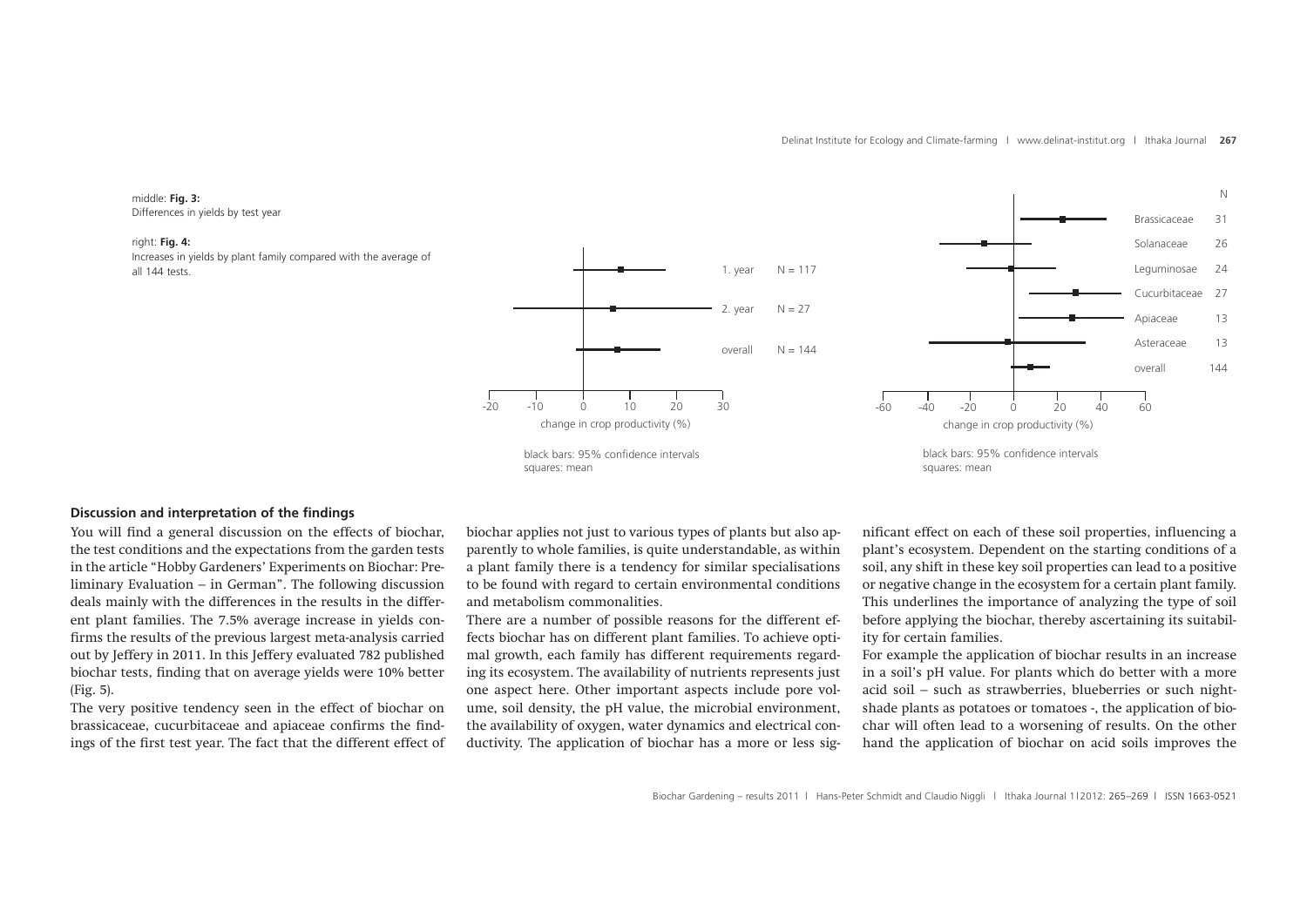#### middle: **Fig. 3:** Differences in yields by test year

#### right: **Fig. 4:**

Increases in yields by plant family compared with the average of all 144 tests.





# **Discussion and interpretation of the findings**

You will find a general discussion on the effects of biochar, the test conditions and the expectations from the garden tests in the article "Hobby Gardeners' Experiments on Biochar: Preliminary Evaluation – in German". The following discussion deals mainly with the differences in the results in the different plant families. The 7.5% average increase in yields confirms the results of the previous largest meta-analysis carried out by Jeffery in 2011. In this Jeffery evaluated 782 published biochar tests, finding that on average yields were 10% better (Fig. 5).

The very positive tendency seen in the effect of biochar on brassicaceae, cucurbitaceae and apiaceae confirms the findings of the first test year. The fact that the different effect of biochar applies not just to various types of plants but also apparently to whole families, is quite understandable, as within a plant family there is a tendency for similar specialisations to be found with regard to certain environmental conditions and metabolism commonalities.

There are a number of possible reasons for the different effects biochar has on different plant families. To achieve optimal growth, each family has different requirements regarding its ecosystem. The availability of nutrients represents just one aspect here. Other important aspects include pore volume, soil density, the pH value, the microbial environment, the availability of oxygen, water dynamics and electrical conductivity. The application of biochar has a more or less significant effect on each of these soil properties, influencing a plant's ecosystem. Dependent on the starting conditions of a soil, any shift in these key soil properties can lead to a positive or negative change in the ecosystem for a certain plant family. This underlines the importance of analyzing the type of soil before applying the biochar, thereby ascertaining its suitability for certain families.

For example the application of biochar results in an increase in a soil's pH value. For plants which do better with a more acid soil – such as strawberries, blueberries or such nightshade plants as potatoes or tomatoes -, the application of biochar will often lead to a worsening of results. On the other hand the application of biochar on acid soils improves the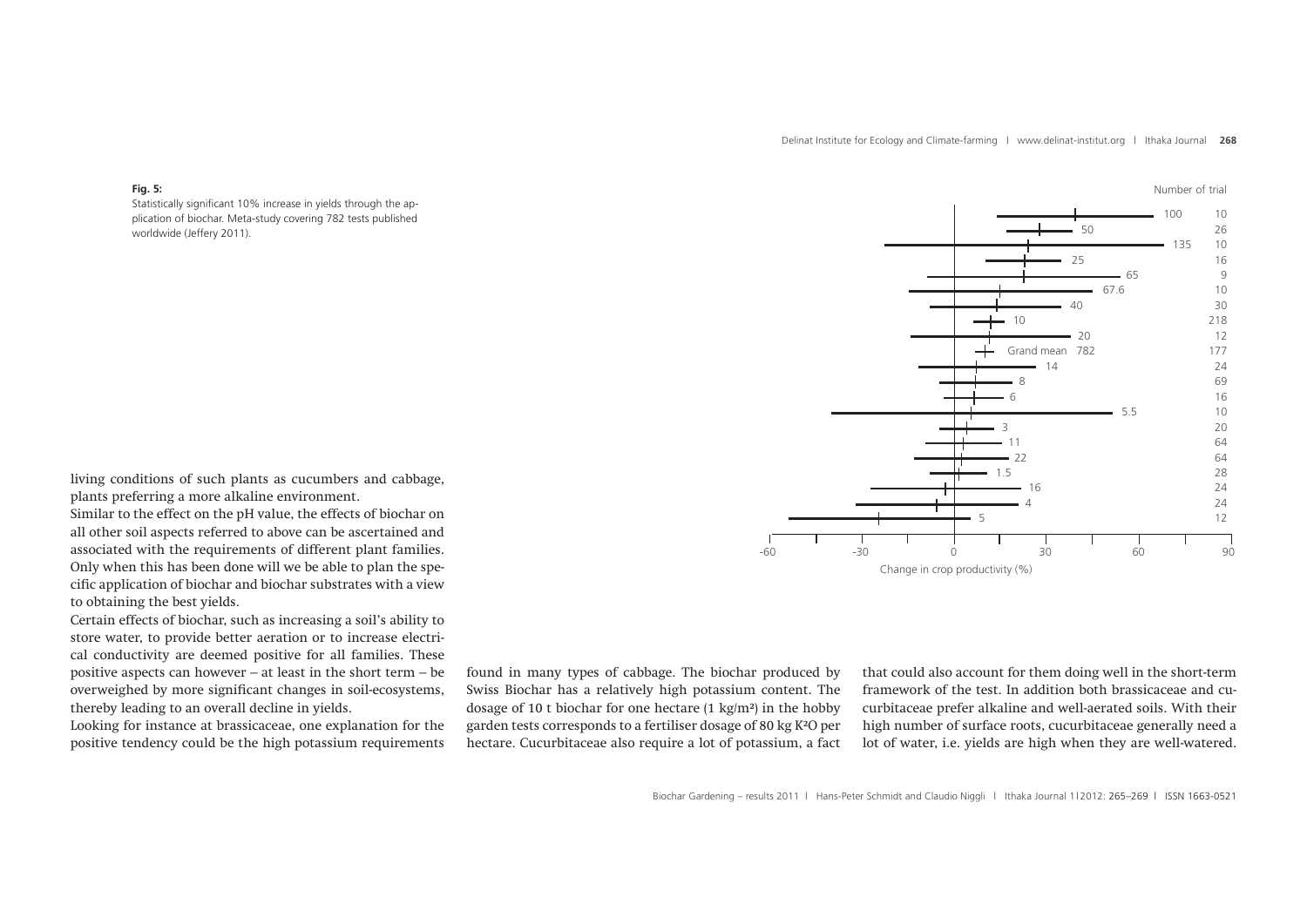Number of trial

#### **Fig. 5:**

Statistically significant 10% increase in yields through the application of biochar. Meta-study covering 782 tests published worldwide (Jeffery 2011).

-60 -30 0 30 60 90 Change in crop productivity (%) 100 10 2 50 26 6 135 10 2 25 16 4 65 9 67.6 10 2 40 30 10 218 20 12 Grand mean 782 177 14 24 8 69 and 23 and 23 and 23 and 23 and 23 and 23 and 23 and 23 and 23 and 23 and 23 and 23 and 23 and 23 and 23 6 16 4 5.5 10 2  $3$  20 11 64 **64** 22 64 1.5 28 8 16 24 4 24  $5$  12

living conditions of such plants as cucumbers and cabbage, plants preferring a more alkaline environment.

Similar to the effect on the pH value, the effects of biochar on all other soil aspects referred to above can be ascertained and associated with the requirements of different plant families. Only when this has been done will we be able to plan the specific application of biochar and biochar substrates with a view to obtaining the best yields.

Certain effects of biochar, such as increasing a soil's ability to store water, to provide better aeration or to increase electrical conductivity are deemed positive for all families. These positive aspects can however – at least in the short term – be overweighed by more significant changes in soil-ecosystems, thereby leading to an overall decline in yields.

Looking for instance at brassicaceae, one explanation for the positive tendency could be the high potassium requirements

found in many types of cabbage. The biochar produced by Swiss Biochar has a relatively high potassium content. The dosage of 10 t biochar for one hectare (1 kg/m²) in the hobby garden tests corresponds to a fertiliser dosage of 80 kg K²O per hectare. Cucurbitaceae also require a lot of potassium, a fact

that could also account for them doing well in the short-term framework of the test. In addition both brassicaceae and cucurbitaceae prefer alkaline and well-aerated soils. With their high number of surface roots, cucurbitaceae generally need a lot of water, i.e. yields are high when they are well-watered.